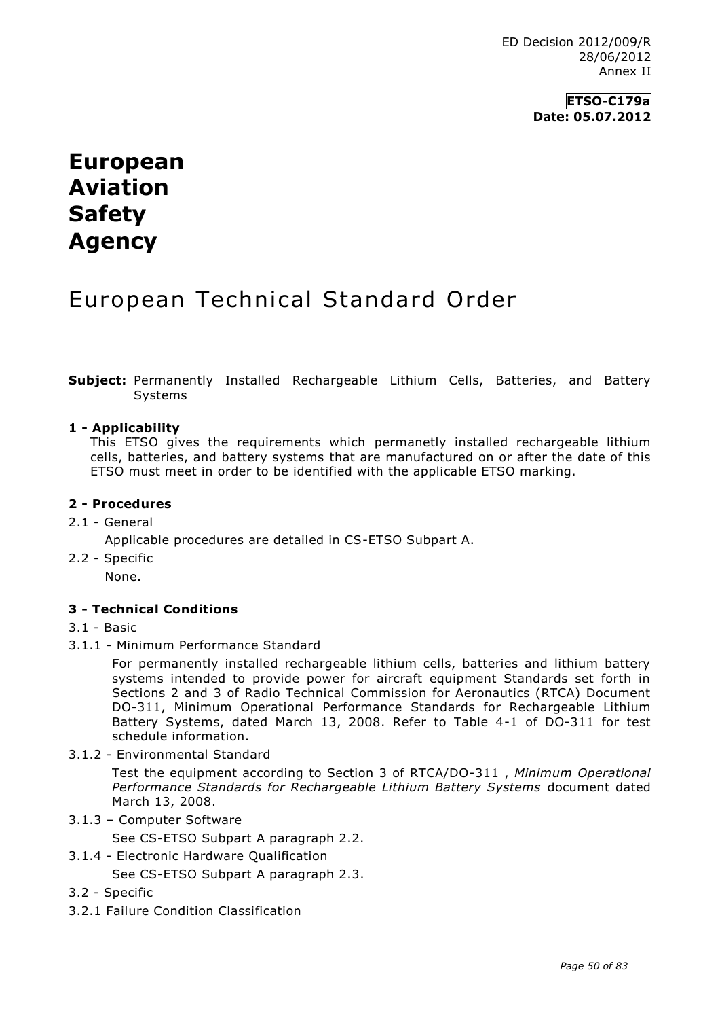## **ETSO-C179a Date: 05.07.2012**

# **European Aviation Safety Agency**

# European Technical Standard Order

**Subject:** Permanently Installed Rechargeable Lithium Cells, Batteries, and Battery Systems

#### **1 - Applicability**

This ETSO gives the requirements which permanetly installed rechargeable lithium cells, batteries, and battery systems that are manufactured on or after the date of this ETSO must meet in order to be identified with the applicable ETSO marking.

#### **2 - Procedures**

2.1 - General

Applicable procedures are detailed in CS-ETSO Subpart A.

2.2 - Specific

None.

## **3 - Technical Conditions**

- 3.1 Basic
- 3.1.1 Minimum Performance Standard

For permanently installed rechargeable lithium cells, batteries and lithium battery systems intended to provide power for aircraft equipment Standards set forth in Sections 2 and 3 of Radio Technical Commission for Aeronautics (RTCA) Document DO-311, Minimum Operational Performance Standards for Rechargeable Lithium Battery Systems, dated March 13, 2008. Refer to Table 4-1 of DO-311 for test schedule information.

3.1.2 - Environmental Standard

Test the equipment according to Section 3 of RTCA/DO-311 , *Minimum Operational Performance Standards for Rechargeable Lithium Battery Systems* document dated March 13, 2008.

3.1.3 – Computer Software

See CS-ETSO Subpart A paragraph 2.2.

3.1.4 - Electronic Hardware Qualification

See CS-ETSO Subpart A paragraph 2.3.

- 3.2 Specific
- 3.2.1 Failure Condition Classification